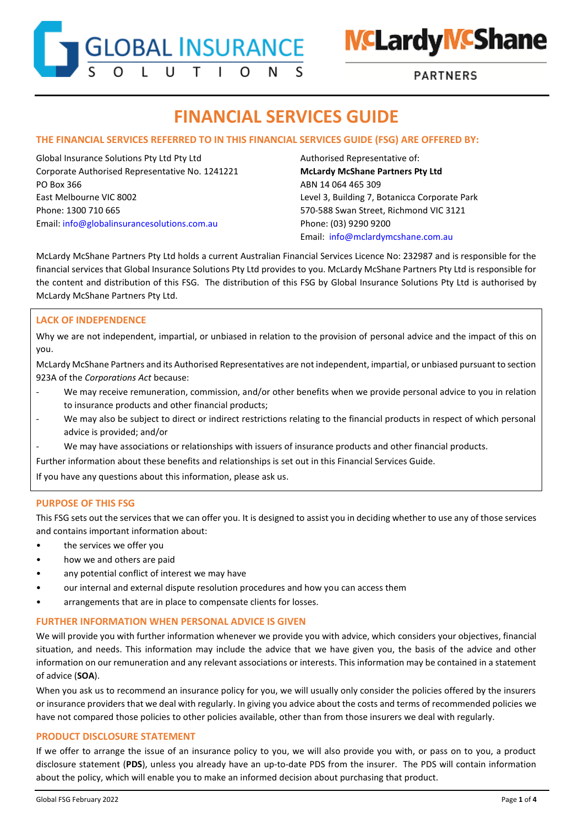



**PARTNERS** 

# **FINANCIAL SERVICES GUIDE**

#### **THE FINANCIAL SERVICES REFERRED TO IN THIS FINANCIAL SERVICES GUIDE (FSG) ARE OFFERED BY:**

Global Insurance Solutions Pty Ltd Pty Ltd Authorised Representative of: Corporate Authorised Representative No. 1241221 **McLardy McShane Partners Pty Ltd** PO Box 366 ABN 14 064 465 309 East Melbourne VIC 8002 Level 3, Building 7, Botanicca Corporate Park Phone: 1300 710 665 570-588 Swan Street, Richmond VIC 3121 Email: [info@globalinsurancesolutions.com.au](mailto:info@globalinsurancesolutions.com.au) Phone: (03) 9290 9200

Email: [info@mclardymcshane.com.au](mailto:info@mclardymcshane.com.au)

McLardy McShane Partners Pty Ltd holds a current Australian Financial Services Licence No: 232987 and is responsible for the financial services that Global Insurance Solutions Pty Ltd provides to you. McLardy McShane Partners Pty Ltd is responsible for the content and distribution of this FSG. The distribution of this FSG by Global Insurance Solutions Pty Ltd is authorised by McLardy McShane Partners Pty Ltd.

#### **LACK OF INDEPENDENCE**

Why we are not independent, impartial, or unbiased in relation to the provision of personal advice and the impact of this on you.

McLardy McShane Partners and its Authorised Representatives are not independent, impartial, or unbiased pursuant to section 923A of the *Corporations Act* because:

- We may receive remuneration, commission, and/or other benefits when we provide personal advice to you in relation to insurance products and other financial products;
- We may also be subject to direct or indirect restrictions relating to the financial products in respect of which personal advice is provided; and/or
- We may have associations or relationships with issuers of insurance products and other financial products.

Further information about these benefits and relationships is set out in this Financial Services Guide.

If you have any questions about this information, please ask us.

#### **PURPOSE OF THIS FSG**

This FSG sets out the services that we can offer you. It is designed to assist you in deciding whether to use any of those services and contains important information about:

- the services we offer you
- how we and others are paid
- any potential conflict of interest we may have
- our internal and external dispute resolution procedures and how you can access them
- arrangements that are in place to compensate clients for losses.

#### **FURTHER INFORMATION WHEN PERSONAL ADVICE IS GIVEN**

We will provide you with further information whenever we provide you with advice, which considers your objectives, financial situation, and needs. This information may include the advice that we have given you, the basis of the advice and other information on our remuneration and any relevant associations or interests. This information may be contained in a statement of advice (**SOA**).

When you ask us to recommend an insurance policy for you, we will usually only consider the policies offered by the insurers or insurance providers that we deal with regularly. In giving you advice about the costs and terms of recommended policies we have not compared those policies to other policies available, other than from those insurers we deal with regularly.

#### **PRODUCT DISCLOSURE STATEMENT**

If we offer to arrange the issue of an insurance policy to you, we will also provide you with, or pass on to you, a product disclosure statement (**PDS**), unless you already have an up-to-date PDS from the insurer. The PDS will contain information about the policy, which will enable you to make an informed decision about purchasing that product.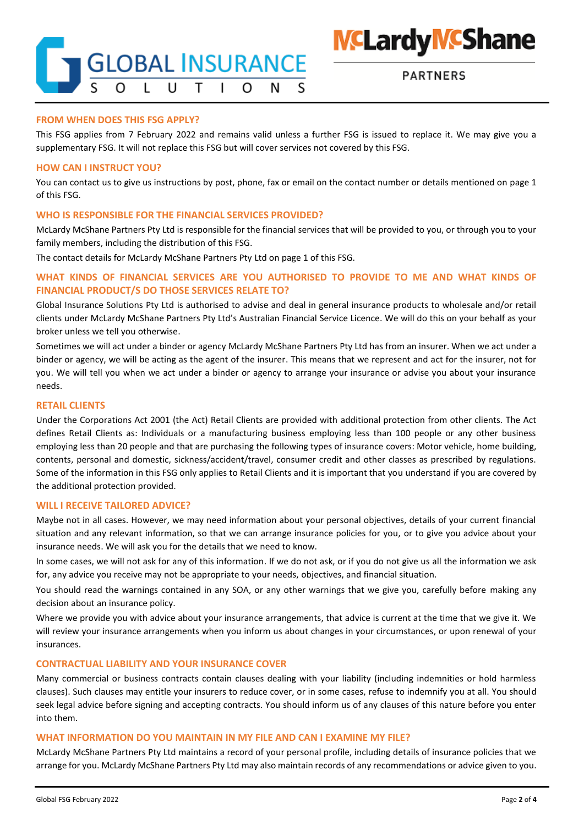**NCLardy NCShane** 

**PARTNERS** 

# **GLOBAL INSURANCE**

# **FROM WHEN DOES THIS FSG APPLY?**

This FSG applies from 7 February 2022 and remains valid unless a further FSG is issued to replace it. We may give you a supplementary FSG. It will not replace this FSG but will cover services not covered by this FSG.

# **HOW CAN I INSTRUCT YOU?**

You can contact us to give us instructions by post, phone, fax or email on the contact number or details mentioned on page 1 of this FSG.

# **WHO IS RESPONSIBLE FOR THE FINANCIAL SERVICES PROVIDED?**

McLardy McShane Partners Pty Ltd is responsible for the financial services that will be provided to you, or through you to your family members, including the distribution of this FSG.

The contact details for McLardy McShane Partners Pty Ltd on page 1 of this FSG.

# **WHAT KINDS OF FINANCIAL SERVICES ARE YOU AUTHORISED TO PROVIDE TO ME AND WHAT KINDS OF FINANCIAL PRODUCT/S DO THOSE SERVICES RELATE TO?**

Global Insurance Solutions Pty Ltd is authorised to advise and deal in general insurance products to wholesale and/or retail clients under McLardy McShane Partners Pty Ltd's Australian Financial Service Licence. We will do this on your behalf as your broker unless we tell you otherwise.

Sometimes we will act under a binder or agency McLardy McShane Partners Pty Ltd has from an insurer. When we act under a binder or agency, we will be acting as the agent of the insurer. This means that we represent and act for the insurer, not for you. We will tell you when we act under a binder or agency to arrange your insurance or advise you about your insurance needs.

#### **RETAIL CLIENTS**

Under the Corporations Act 2001 (the Act) Retail Clients are provided with additional protection from other clients. The Act defines Retail Clients as: Individuals or a manufacturing business employing less than 100 people or any other business employing less than 20 people and that are purchasing the following types of insurance covers: Motor vehicle, home building, contents, personal and domestic, sickness/accident/travel, consumer credit and other classes as prescribed by regulations. Some of the information in this FSG only applies to Retail Clients and it is important that you understand if you are covered by the additional protection provided.

### **WILL I RECEIVE TAILORED ADVICE?**

Maybe not in all cases. However, we may need information about your personal objectives, details of your current financial situation and any relevant information, so that we can arrange insurance policies for you, or to give you advice about your insurance needs. We will ask you for the details that we need to know.

In some cases, we will not ask for any of this information. If we do not ask, or if you do not give us all the information we ask for, any advice you receive may not be appropriate to your needs, objectives, and financial situation.

You should read the warnings contained in any SOA, or any other warnings that we give you, carefully before making any decision about an insurance policy.

Where we provide you with advice about your insurance arrangements, that advice is current at the time that we give it. We will review your insurance arrangements when you inform us about changes in your circumstances, or upon renewal of your insurances.

### **CONTRACTUAL LIABILITY AND YOUR INSURANCE COVER**

Many commercial or business contracts contain clauses dealing with your liability (including indemnities or hold harmless clauses). Such clauses may entitle your insurers to reduce cover, or in some cases, refuse to indemnify you at all. You should seek legal advice before signing and accepting contracts. You should inform us of any clauses of this nature before you enter into them.

#### **WHAT INFORMATION DO YOU MAINTAIN IN MY FILE AND CAN I EXAMINE MY FILE?**

McLardy McShane Partners Pty Ltd maintains a record of your personal profile, including details of insurance policies that we arrange for you. McLardy McShane Partners Pty Ltd may also maintain records of any recommendations or advice given to you.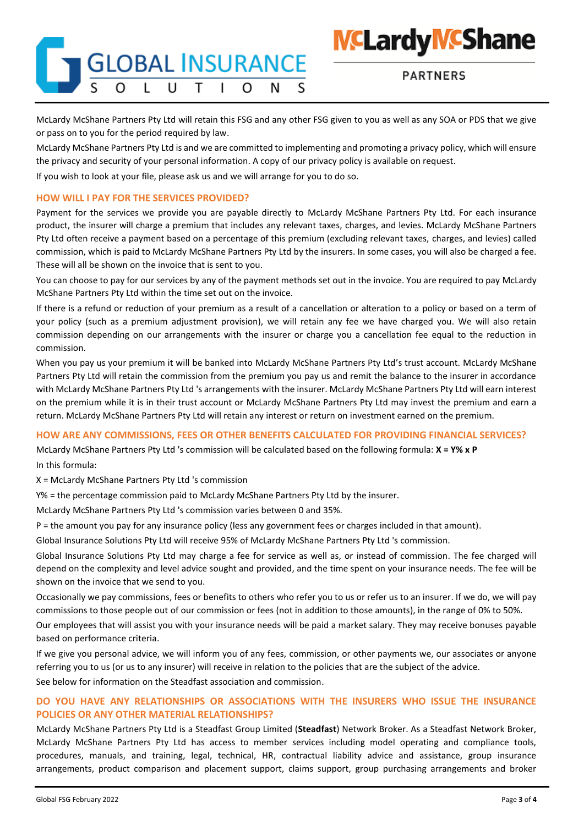



**NCLardy NCShane** 

McLardy McShane Partners Pty Ltd will retain this FSG and any other FSG given to you as well as any SOA or PDS that we give or pass on to you for the period required by law.

McLardy McShane Partners Pty Ltd is and we are committed to implementing and promoting a privacy policy, which will ensure the privacy and security of your personal information. A copy of our privacy policy is available on request.

If you wish to look at your file, please ask us and we will arrange for you to do so.

#### **HOW WILL I PAY FOR THE SERVICES PROVIDED?**

Payment for the services we provide you are payable directly to McLardy McShane Partners Pty Ltd. For each insurance product, the insurer will charge a premium that includes any relevant taxes, charges, and levies. McLardy McShane Partners Pty Ltd often receive a payment based on a percentage of this premium (excluding relevant taxes, charges, and levies) called commission, which is paid to McLardy McShane Partners Pty Ltd by the insurers. In some cases, you will also be charged a fee. These will all be shown on the invoice that is sent to you.

You can choose to pay for our services by any of the payment methods set out in the invoice. You are required to pay McLardy McShane Partners Pty Ltd within the time set out on the invoice.

If there is a refund or reduction of your premium as a result of a cancellation or alteration to a policy or based on a term of your policy (such as a premium adjustment provision), we will retain any fee we have charged you. We will also retain commission depending on our arrangements with the insurer or charge you a cancellation fee equal to the reduction in commission.

When you pay us your premium it will be banked into McLardy McShane Partners Pty Ltd's trust account. McLardy McShane Partners Pty Ltd will retain the commission from the premium you pay us and remit the balance to the insurer in accordance with McLardy McShane Partners Pty Ltd 's arrangements with the insurer. McLardy McShane Partners Pty Ltd will earn interest on the premium while it is in their trust account or McLardy McShane Partners Pty Ltd may invest the premium and earn a return. McLardy McShane Partners Pty Ltd will retain any interest or return on investment earned on the premium.

#### **HOW ARE ANY COMMISSIONS, FEES OR OTHER BENEFITS CALCULATED FOR PROVIDING FINANCIAL SERVICES?**

McLardy McShane Partners Pty Ltd 's commission will be calculated based on the following formula: **X = Y% x P**  In this formula:

X = McLardy McShane Partners Pty Ltd 's commission

Y% = the percentage commission paid to McLardy McShane Partners Pty Ltd by the insurer.

McLardy McShane Partners Pty Ltd 's commission varies between 0 and 35%.

P = the amount you pay for any insurance policy (less any government fees or charges included in that amount).

Global Insurance Solutions Pty Ltd will receive 95% of McLardy McShane Partners Pty Ltd 's commission.

Global Insurance Solutions Pty Ltd may charge a fee for service as well as, or instead of commission. The fee charged will depend on the complexity and level advice sought and provided, and the time spent on your insurance needs. The fee will be shown on the invoice that we send to you.

Occasionally we pay commissions, fees or benefits to others who refer you to us or refer us to an insurer. If we do, we will pay commissions to those people out of our commission or fees (not in addition to those amounts), in the range of 0% to 50%.

Our employees that will assist you with your insurance needs will be paid a market salary. They may receive bonuses payable based on performance criteria.

If we give you personal advice, we will inform you of any fees, commission, or other payments we, our associates or anyone referring you to us (or us to any insurer) will receive in relation to the policies that are the subject of the advice.

See below for information on the Steadfast association and commission.

#### **DO YOU HAVE ANY RELATIONSHIPS OR ASSOCIATIONS WITH THE INSURERS WHO ISSUE THE INSURANCE POLICIES OR ANY OTHER MATERIAL RELATIONSHIPS?**

McLardy McShane Partners Pty Ltd is a Steadfast Group Limited (**Steadfast**) Network Broker. As a Steadfast Network Broker, McLardy McShane Partners Pty Ltd has access to member services including model operating and compliance tools, procedures, manuals, and training, legal, technical, HR, contractual liability advice and assistance, group insurance arrangements, product comparison and placement support, claims support, group purchasing arrangements and broker